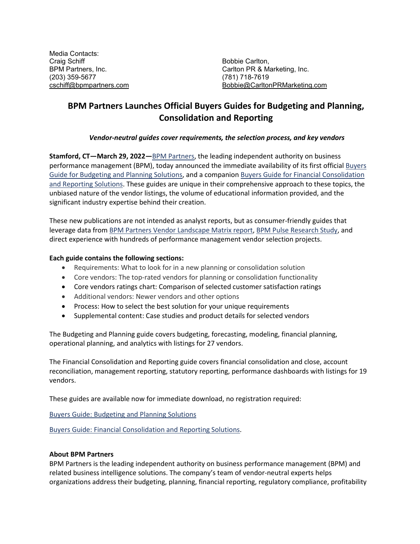Media Contacts: Craig Schiff Bobbie Carlton, (203) 359-5677 (781) 718-7619

Carlton PR & Marketing, Inc. [cschiff@bpmpartners.com](mailto:cschiff@bpmpartners.com) [Bobbie@CarltonPRMarketing.com](mailto:Bobbie@CarltonPRMarketing.com)

## **BPM Partners Launches Official Buyers Guides for Budgeting and Planning, Consolidation and Reporting**

## *Vendor-neutral guides cover requirements, the selection process, and key vendors*

**Stamford, CT—March 29, 2022—**[BPM Partners,](https://www.bpmpartners.com/) the leading independent authority on business performance management (BPM), today announced the immediate availability of its first official [Buyers](https://www.bpmpartners.com/2022/03/10/buyers-guide-budgeting-and-planning/)  [Guide for Budgeting and Planning Solutions,](https://www.bpmpartners.com/2022/03/10/buyers-guide-budgeting-and-planning/) and a companion [Buyers Guide for Financial Consolidation](https://www.bpmpartners.com/2022/03/10/buyers-guide-consolidation-and-reporting/)  [and Reporting Solutions.](https://www.bpmpartners.com/2022/03/10/buyers-guide-consolidation-and-reporting/) These guides are unique in their comprehensive approach to these topics, the unbiased nature of the vendor listings, the volume of educational information provided, and the significant industry expertise behind their creation.

These new publications are not intended as analyst reports, but as consumer-friendly guides that leverage data from [BPM Partners Vendor Landscape Matrix report,](https://www.bpmpartners.com/performance-place/vendor-landscape-matrix-report/) [BPM Pulse Research Study,](https://www.bpmpartners.com/bpm-central/bpm-survey/) and direct experience with hundreds of performance management vendor selection projects.

## **Each guide contains the following sections:**

- Requirements: What to look for in a new planning or consolidation solution
- Core vendors: The top-rated vendors for planning or consolidation functionality
- Core vendors ratings chart: Comparison of selected customer satisfaction ratings
- Additional vendors: Newer vendors and other options
- Process: How to select the best solution for your unique requirements
- Supplemental content: Case studies and product details for selected vendors

The Budgeting and Planning guide covers budgeting, forecasting, modeling, financial planning, operational planning, and analytics with listings for 27 vendors.

The Financial Consolidation and Reporting guide covers financial consolidation and close, account reconciliation, management reporting, statutory reporting, performance dashboards with listings for 19 vendors.

These guides are available now for immediate download, no registration required:

[Buyers Guide: Budgeting and Planning Solutions](https://www.bpmpartners.com/2022/03/10/buyers-guide-budgeting-and-planning/)

[Buyers Guide: Financial Consolidation and Reporting Solutions.](https://www.bpmpartners.com/2022/03/10/buyers-guide-consolidation-and-reporting/)

## **About BPM Partners**

BPM Partners is the leading independent authority on business performance management (BPM) and related business intelligence solutions. The company's team of vendor-neutral experts helps organizations address their budgeting, planning, financial reporting, regulatory compliance, profitability